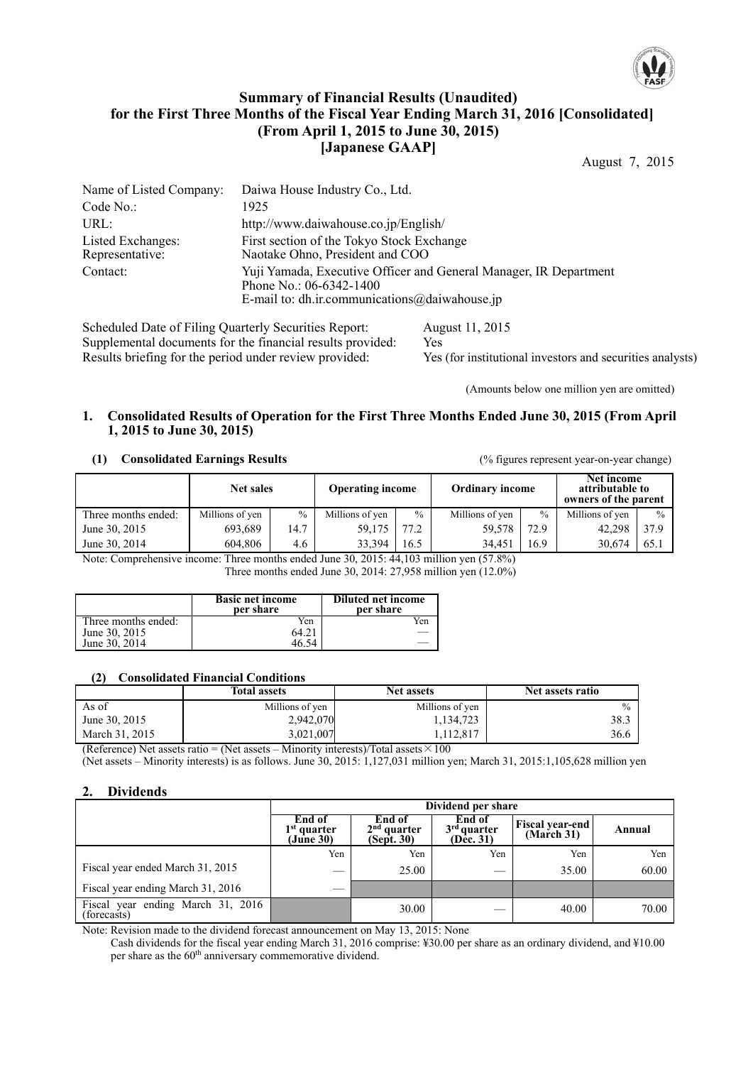

# **Summary of Financial Results (Unaudited) for the First Three Months of the Fiscal Year Ending March 31, 2016 [Consolidated] (From April 1, 2015 to June 30, 2015) [Japanese GAAP]**

August 7, 2015

| Name of Listed Company:                               | Daiwa House Industry Co., Ltd.                                                                                                                  |  |  |  |
|-------------------------------------------------------|-------------------------------------------------------------------------------------------------------------------------------------------------|--|--|--|
| Code No.:                                             | 1925                                                                                                                                            |  |  |  |
| URL:                                                  | http://www.daiwahouse.co.jp/English/                                                                                                            |  |  |  |
| Listed Exchanges:<br>Representative:                  | First section of the Tokyo Stock Exchange<br>Naotake Ohno, President and COO                                                                    |  |  |  |
| Contact:                                              | Yuji Yamada, Executive Officer and General Manager, IR Department<br>Phone No.: $06-6342-1400$<br>E-mail to: dh.ir.communications@daiwahouse.jp |  |  |  |
| Scheduled Date of Filing Quarterly Securities Report: | August 11, 2015                                                                                                                                 |  |  |  |

Supplemental documents for the financial results provided: Yes Results briefing for the period under review provided: Yes (for institutional investors and securities analysts)

(Amounts below one million yen are omitted)

### **1. Consolidated Results of Operation for the First Three Months Ended June 30, 2015 (From April 1, 2015 to June 30, 2015)**

#### **(1) Consolidated Earnings Results** (% figures represent year-on-year change)

|                     | Net sales       |      | <b>Operating income</b> |               | <b>Ordinary income</b> |               | Net income<br>attributable to<br>owners of the parent |               |
|---------------------|-----------------|------|-------------------------|---------------|------------------------|---------------|-------------------------------------------------------|---------------|
| Three months ended: | Millions of yen | $\%$ | Millions of yen         | $\frac{0}{0}$ | Millions of yen        | $\frac{0}{0}$ | Millions of yen                                       | $\frac{0}{0}$ |
| June 30, 2015       | 693.689         | 14.7 | 59.175                  | 77.2          | 59.578                 | 72.9          | 42.298                                                | 37.9          |
| June 30, 2014       | 604.806         | 4.6  | 33.394                  | 16.5          | 34.451                 | 16.9          | 30.674                                                | 65.1          |

Note: Comprehensive income: Three months ended June 30, 2015: 44,103 million yen (57.8%) Three months ended June 30, 2014: 27,958 million yen (12.0%)

|                     | <b>Basic net income</b><br>per share | <b>Diluted net income</b><br>per share |
|---------------------|--------------------------------------|----------------------------------------|
| Three months ended: | Yen                                  | Yen                                    |
| June 30, 2015       |                                      |                                        |
| June 30, 2014       |                                      |                                        |

## **(2) Consolidated Financial Conditions**

|                | <b>Total assets</b> | <b>Net assets</b> | Net assets ratio |
|----------------|---------------------|-------------------|------------------|
| As of          | Millions of yen     | Millions of yen   |                  |
| June 30, 2015  | 2,942,070           | 1,134,723         | 38.3             |
| March 31, 2015 | 3,021,007           | 1,112,817         | 36.6             |

(Reference) Net assets ratio = (Net assets – Minority interests)/Total assets  $\times 100$ 

(Net assets – Minority interests) is as follows. June 30, 2015: 1,127,031 million yen; March 31, 2015:1,105,628 million yen

## **2. Dividends**

|                                                  | Dividend per share                   |                                       |                                      |                                      |        |  |
|--------------------------------------------------|--------------------------------------|---------------------------------------|--------------------------------------|--------------------------------------|--------|--|
|                                                  | End of<br>$1st$ quarter<br>(June 30) | End of<br>$2nd$ quarter<br>(Sept. 30) | End of<br>$3rd$ quarter<br>(Dec. 31) | <b>Fiscal year-end</b><br>(March 31) | Annual |  |
|                                                  | Yen                                  | Yen                                   | Yen                                  | Yen                                  | Yen    |  |
| Fiscal year ended March 31, 2015                 |                                      | 25.00                                 |                                      | 35.00                                | 60.00  |  |
| Fiscal year ending March 31, 2016                | __                                   |                                       |                                      |                                      |        |  |
| Fiscal year ending March 31, 2016<br>(forecasts) |                                      | 30.00                                 |                                      | 40.00                                | 70.00  |  |

Note: Revision made to the dividend forecast announcement on May 13, 2015: None

Cash dividends for the fiscal year ending March 31, 2016 comprise: ¥30.00 per share as an ordinary dividend, and ¥10.00 per share as the 60<sup>th</sup> anniversary commemorative dividend.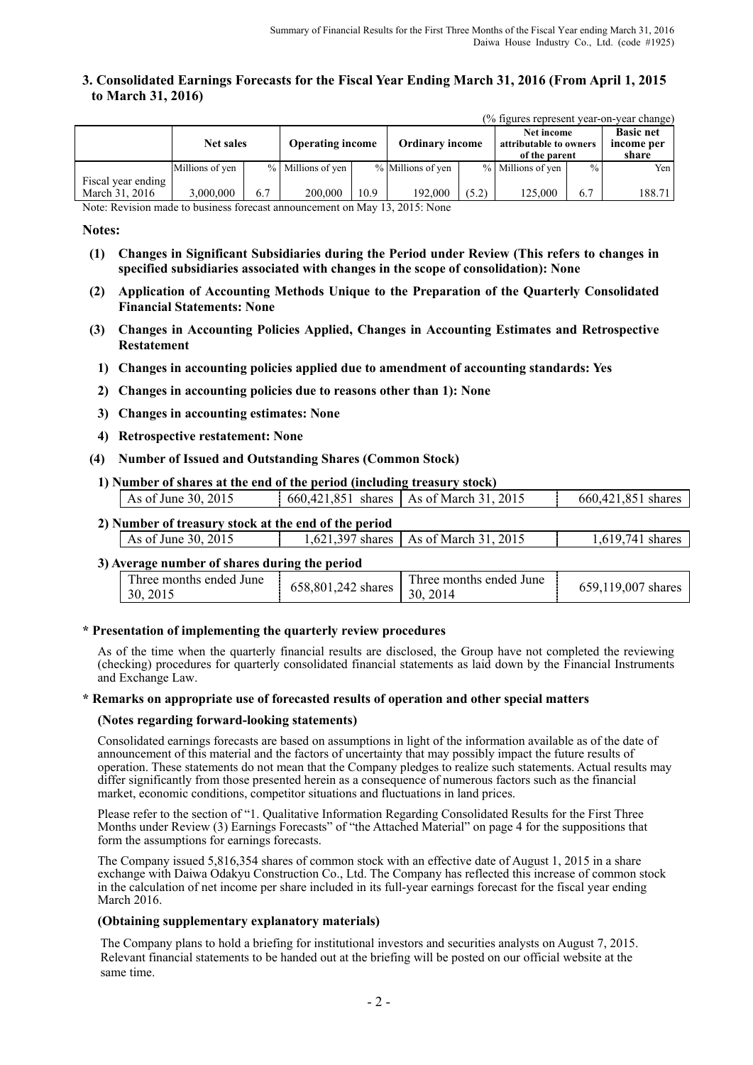## **3. Consolidated Earnings Forecasts for the Fiscal Year Ending March 31, 2016 (From April 1, 2015 to March 31, 2016)**

(% figures represent year-on-year change)

|                                      | <b>Net sales</b> |     | <b>Operating income</b> |      | <b>Ordinary income</b> |       | Net income<br>attributable to owners<br>of the parent |               | <b>Basic net</b><br>income per<br>share |
|--------------------------------------|------------------|-----|-------------------------|------|------------------------|-------|-------------------------------------------------------|---------------|-----------------------------------------|
|                                      | Millions of yen  |     | % Millions of yen       |      | % Millions of yen      |       | % Millions of yen                                     | $\frac{0}{0}$ | Yen I                                   |
| Fiscal year ending<br>March 31, 2016 | 000,000,         | 6.7 | 200,000                 | 10.9 | 192,000                | (5.2) | 125,000                                               | 6.7           | 188.71                                  |

Note: Revision made to business forecast announcement on May 13, 2015: None

### **Notes:**

- **(1) Changes in Significant Subsidiaries during the Period under Review (This refers to changes in specified subsidiaries associated with changes in the scope of consolidation): None**
- **(2) Application of Accounting Methods Unique to the Preparation of the Quarterly Consolidated Financial Statements: None**
- **(3) Changes in Accounting Policies Applied, Changes in Accounting Estimates and Retrospective Restatement** 
	- **1) Changes in accounting policies applied due to amendment of accounting standards: Yes**
	- **2) Changes in accounting policies due to reasons other than 1): None**
	- **3) Changes in accounting estimates: None**
- **4) Retrospective restatement: None**
- **(4) Number of Issued and Outstanding Shares (Common Stock)**
- **1) Number of shares at the end of the period (including treasury stock)**

| As of June 30, 2015                                                                                                                                  | 660,421,851 | shares $\vert$ As of March 31, 2015 | 660.421.851 shares |
|------------------------------------------------------------------------------------------------------------------------------------------------------|-------------|-------------------------------------|--------------------|
| $\mathbf{A}$ ) $\mathbf{M}$ and $\mathbf{A}$ are also as a set of the set of $\mathbf{A}$ and $\mathbf{A}$ are also as $\mathbf{A}$ and $\mathbf{A}$ |             |                                     |                    |

| 2) Number of treasury stock at the end of the period |                                         |                  |
|------------------------------------------------------|-----------------------------------------|------------------|
| As of June 30, 2015                                  | 1,621,397 shares   As of March 31, 2015 | 1,619,741 shares |
|                                                      |                                         |                  |

#### **3) Average number of shares during the period**

| <b>TIME</b><br>I hree months ended June<br>658,801,242 shares<br>30, 2015 | Three months ended June<br>30, 2014 | 659,119,007 shares |
|---------------------------------------------------------------------------|-------------------------------------|--------------------|
|---------------------------------------------------------------------------|-------------------------------------|--------------------|

### **\* Presentation of implementing the quarterly review procedures**

As of the time when the quarterly financial results are disclosed, the Group have not completed the reviewing (checking) procedures for quarterly consolidated financial statements as laid down by the Financial Instruments and Exchange Law.

#### **\* Remarks on appropriate use of forecasted results of operation and other special matters**

#### **(Notes regarding forward-looking statements)**

Consolidated earnings forecasts are based on assumptions in light of the information available as of the date of announcement of this material and the factors of uncertainty that may possibly impact the future results of operation. These statements do not mean that the Company pledges to realize such statements. Actual results may differ significantly from those presented herein as a consequence of numerous factors such as the financial market, economic conditions, competitor situations and fluctuations in land prices.

Please refer to the section of "1. Qualitative Information Regarding Consolidated Results for the First Three Months under Review (3) Earnings Forecasts" of "the Attached Material" on page 4 for the suppositions that form the assumptions for earnings forecasts.

The Company issued 5,816,354 shares of common stock with an effective date of August 1, 2015 in a share exchange with Daiwa Odakyu Construction Co., Ltd. The Company has reflected this increase of common stock in the calculation of net income per share included in its full-year earnings forecast for the fiscal year ending March 2016.

#### **(Obtaining supplementary explanatory materials)**

The Company plans to hold a briefing for institutional investors and securities analysts on August 7, 2015. Relevant financial statements to be handed out at the briefing will be posted on our official website at the same time.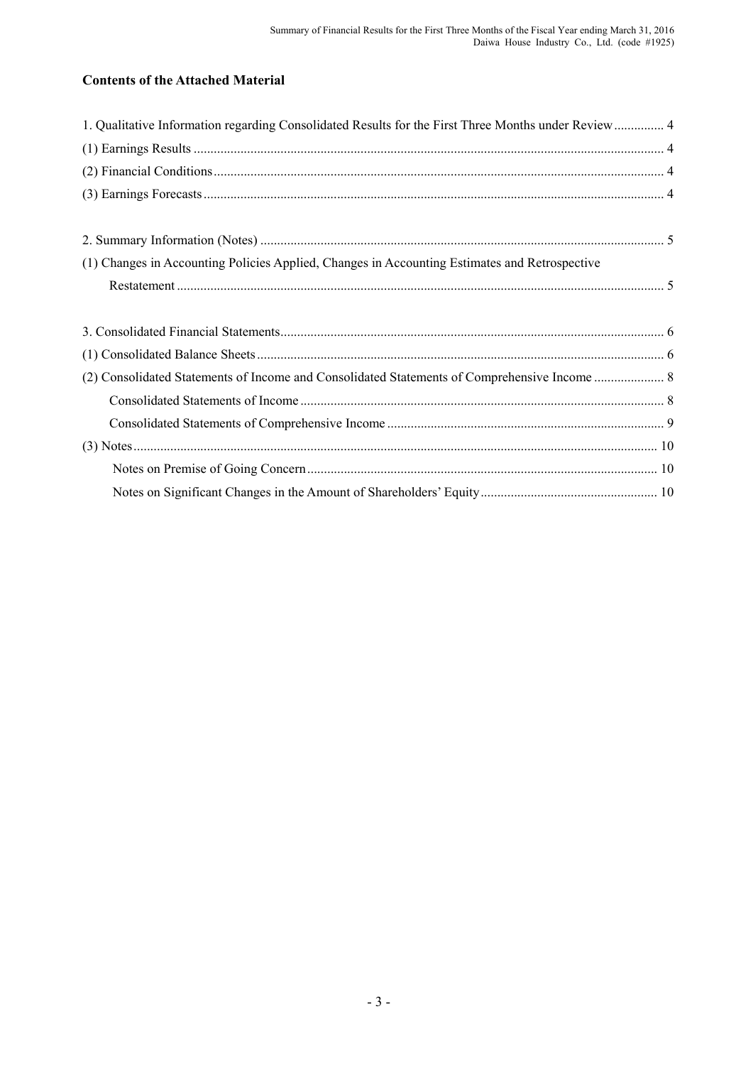# **Contents of the Attached Material**

| 1. Qualitative Information regarding Consolidated Results for the First Three Months under Review 4 |  |
|-----------------------------------------------------------------------------------------------------|--|
|                                                                                                     |  |
|                                                                                                     |  |
|                                                                                                     |  |
|                                                                                                     |  |
|                                                                                                     |  |
| (1) Changes in Accounting Policies Applied, Changes in Accounting Estimates and Retrospective       |  |
|                                                                                                     |  |
|                                                                                                     |  |
|                                                                                                     |  |
|                                                                                                     |  |
|                                                                                                     |  |
|                                                                                                     |  |
|                                                                                                     |  |
|                                                                                                     |  |
|                                                                                                     |  |
|                                                                                                     |  |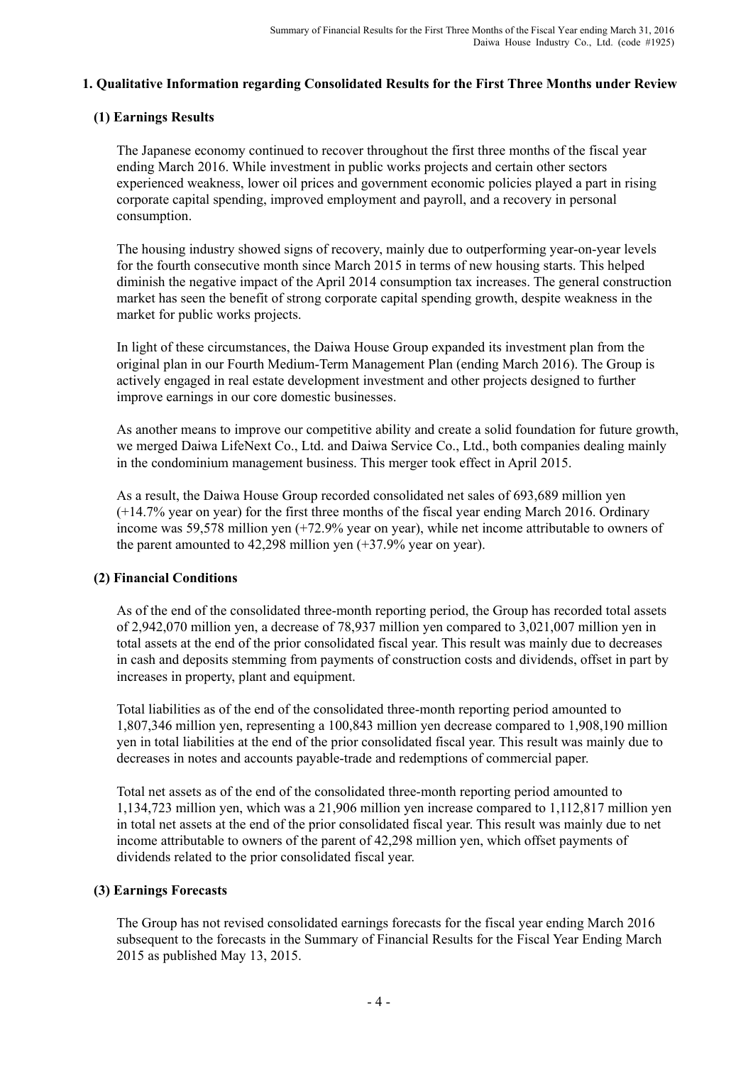# **1. Qualitative Information regarding Consolidated Results for the First Three Months under Review**

# **(1) Earnings Results**

The Japanese economy continued to recover throughout the first three months of the fiscal year ending March 2016. While investment in public works projects and certain other sectors experienced weakness, lower oil prices and government economic policies played a part in rising corporate capital spending, improved employment and payroll, and a recovery in personal consumption.

The housing industry showed signs of recovery, mainly due to outperforming year-on-year levels for the fourth consecutive month since March 2015 in terms of new housing starts. This helped diminish the negative impact of the April 2014 consumption tax increases. The general construction market has seen the benefit of strong corporate capital spending growth, despite weakness in the market for public works projects.

In light of these circumstances, the Daiwa House Group expanded its investment plan from the original plan in our Fourth Medium-Term Management Plan (ending March 2016). The Group is actively engaged in real estate development investment and other projects designed to further improve earnings in our core domestic businesses.

As another means to improve our competitive ability and create a solid foundation for future growth, we merged Daiwa LifeNext Co., Ltd. and Daiwa Service Co., Ltd., both companies dealing mainly in the condominium management business. This merger took effect in April 2015.

As a result, the Daiwa House Group recorded consolidated net sales of 693,689 million yen (+14.7% year on year) for the first three months of the fiscal year ending March 2016. Ordinary income was 59,578 million yen (+72.9% year on year), while net income attributable to owners of the parent amounted to 42,298 million yen (+37.9% year on year).

# **(2) Financial Conditions**

As of the end of the consolidated three-month reporting period, the Group has recorded total assets of 2,942,070 million yen, a decrease of 78,937 million yen compared to 3,021,007 million yen in total assets at the end of the prior consolidated fiscal year. This result was mainly due to decreases in cash and deposits stemming from payments of construction costs and dividends, offset in part by increases in property, plant and equipment.

Total liabilities as of the end of the consolidated three-month reporting period amounted to 1,807,346 million yen, representing a 100,843 million yen decrease compared to 1,908,190 million yen in total liabilities at the end of the prior consolidated fiscal year. This result was mainly due to decreases in notes and accounts payable-trade and redemptions of commercial paper.

Total net assets as of the end of the consolidated three-month reporting period amounted to 1,134,723 million yen, which was a 21,906 million yen increase compared to 1,112,817 million yen in total net assets at the end of the prior consolidated fiscal year. This result was mainly due to net income attributable to owners of the parent of 42,298 million yen, which offset payments of dividends related to the prior consolidated fiscal year.

## **(3) Earnings Forecasts**

The Group has not revised consolidated earnings forecasts for the fiscal year ending March 2016 subsequent to the forecasts in the Summary of Financial Results for the Fiscal Year Ending March 2015 as published May 13, 2015.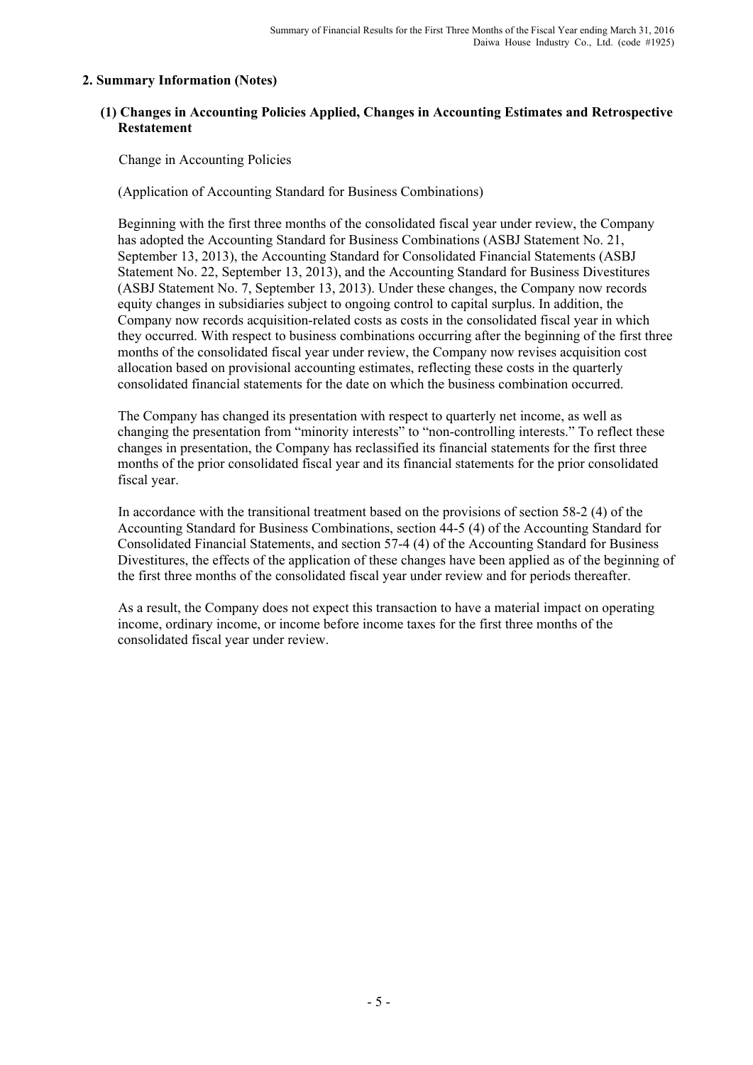# **2. Summary Information (Notes)**

# **(1) Changes in Accounting Policies Applied, Changes in Accounting Estimates and Retrospective Restatement**

Change in Accounting Policies

(Application of Accounting Standard for Business Combinations)

Beginning with the first three months of the consolidated fiscal year under review, the Company has adopted the Accounting Standard for Business Combinations (ASBJ Statement No. 21, September 13, 2013), the Accounting Standard for Consolidated Financial Statements (ASBJ Statement No. 22, September 13, 2013), and the Accounting Standard for Business Divestitures (ASBJ Statement No. 7, September 13, 2013). Under these changes, the Company now records equity changes in subsidiaries subject to ongoing control to capital surplus. In addition, the Company now records acquisition-related costs as costs in the consolidated fiscal year in which they occurred. With respect to business combinations occurring after the beginning of the first three months of the consolidated fiscal year under review, the Company now revises acquisition cost allocation based on provisional accounting estimates, reflecting these costs in the quarterly consolidated financial statements for the date on which the business combination occurred.

The Company has changed its presentation with respect to quarterly net income, as well as changing the presentation from "minority interests" to "non-controlling interests." To reflect these changes in presentation, the Company has reclassified its financial statements for the first three months of the prior consolidated fiscal year and its financial statements for the prior consolidated fiscal year.

In accordance with the transitional treatment based on the provisions of section 58-2 (4) of the Accounting Standard for Business Combinations, section 44-5 (4) of the Accounting Standard for Consolidated Financial Statements, and section 57-4 (4) of the Accounting Standard for Business Divestitures, the effects of the application of these changes have been applied as of the beginning of the first three months of the consolidated fiscal year under review and for periods thereafter.

As a result, the Company does not expect this transaction to have a material impact on operating income, ordinary income, or income before income taxes for the first three months of the consolidated fiscal year under review.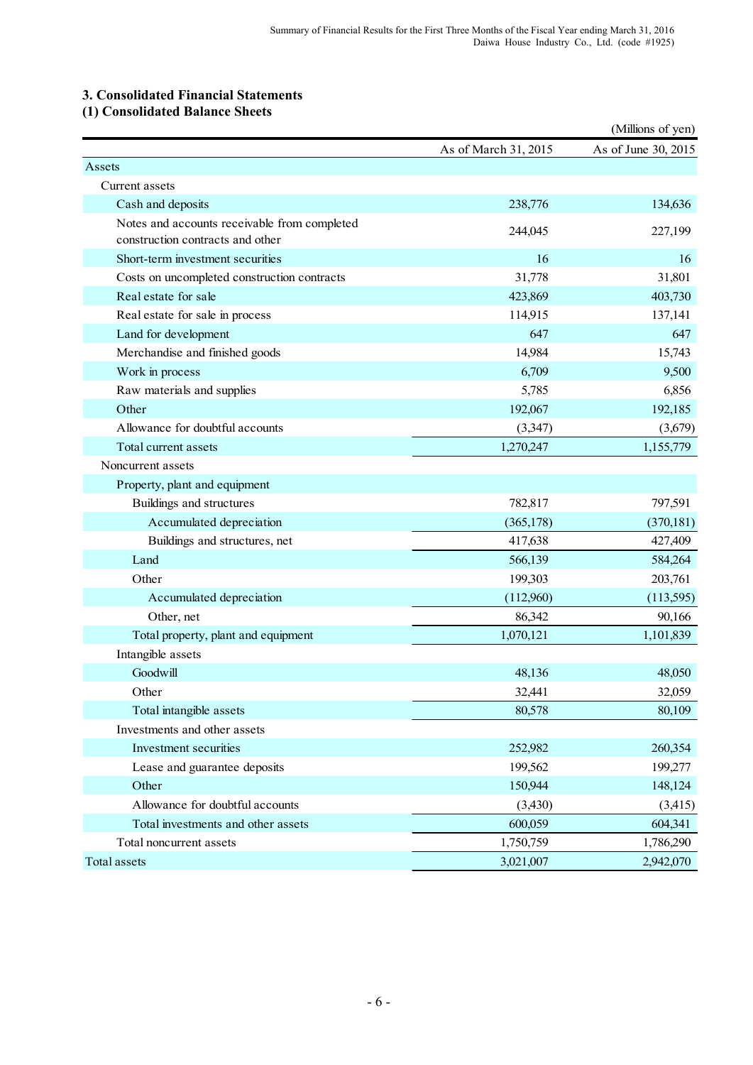# **3. Consolidated Financial Statements**

**(1) Consolidated Balance Sheets**

|                                                                                  |                      | (Millions of yen)   |
|----------------------------------------------------------------------------------|----------------------|---------------------|
|                                                                                  | As of March 31, 2015 | As of June 30, 2015 |
| Assets                                                                           |                      |                     |
| Current assets                                                                   |                      |                     |
| Cash and deposits                                                                | 238,776              | 134,636             |
| Notes and accounts receivable from completed<br>construction contracts and other | 244,045              | 227,199             |
| Short-term investment securities                                                 | 16                   | 16                  |
| Costs on uncompleted construction contracts                                      | 31,778               | 31,801              |
| Real estate for sale                                                             | 423,869              | 403,730             |
| Real estate for sale in process                                                  | 114,915              | 137,141             |
| Land for development                                                             | 647                  | 647                 |
| Merchandise and finished goods                                                   | 14,984               | 15,743              |
| Work in process                                                                  | 6,709                | 9,500               |
| Raw materials and supplies                                                       | 5,785                | 6,856               |
| Other                                                                            | 192,067              | 192,185             |
| Allowance for doubtful accounts                                                  | (3,347)              | (3,679)             |
| Total current assets                                                             | 1,270,247            | 1,155,779           |
| Noncurrent assets                                                                |                      |                     |
| Property, plant and equipment                                                    |                      |                     |
| Buildings and structures                                                         | 782,817              | 797,591             |
| Accumulated depreciation                                                         | (365, 178)           | (370, 181)          |
| Buildings and structures, net                                                    | 417,638              | 427,409             |
| Land                                                                             | 566,139              | 584,264             |
| Other                                                                            | 199,303              | 203,761             |
| Accumulated depreciation                                                         | (112,960)            | (113,595)           |
| Other, net                                                                       | 86,342               | 90,166              |
| Total property, plant and equipment                                              | 1,070,121            | 1,101,839           |
| Intangible assets                                                                |                      |                     |
| Goodwill                                                                         | 48,136               | 48,050              |
| Other                                                                            | 32,441               | 32,059              |
| Total intangible assets                                                          | 80,578               | 80,109              |
| Investments and other assets                                                     |                      |                     |
| Investment securities                                                            | 252,982              | 260,354             |
| Lease and guarantee deposits                                                     | 199,562              | 199,277             |
| Other                                                                            | 150,944              | 148,124             |
| Allowance for doubtful accounts                                                  | (3, 430)             | (3,415)             |
| Total investments and other assets                                               | 600,059              | 604,341             |
| Total noncurrent assets                                                          | 1,750,759            | 1,786,290           |
| Total assets                                                                     | 3,021,007            | 2,942,070           |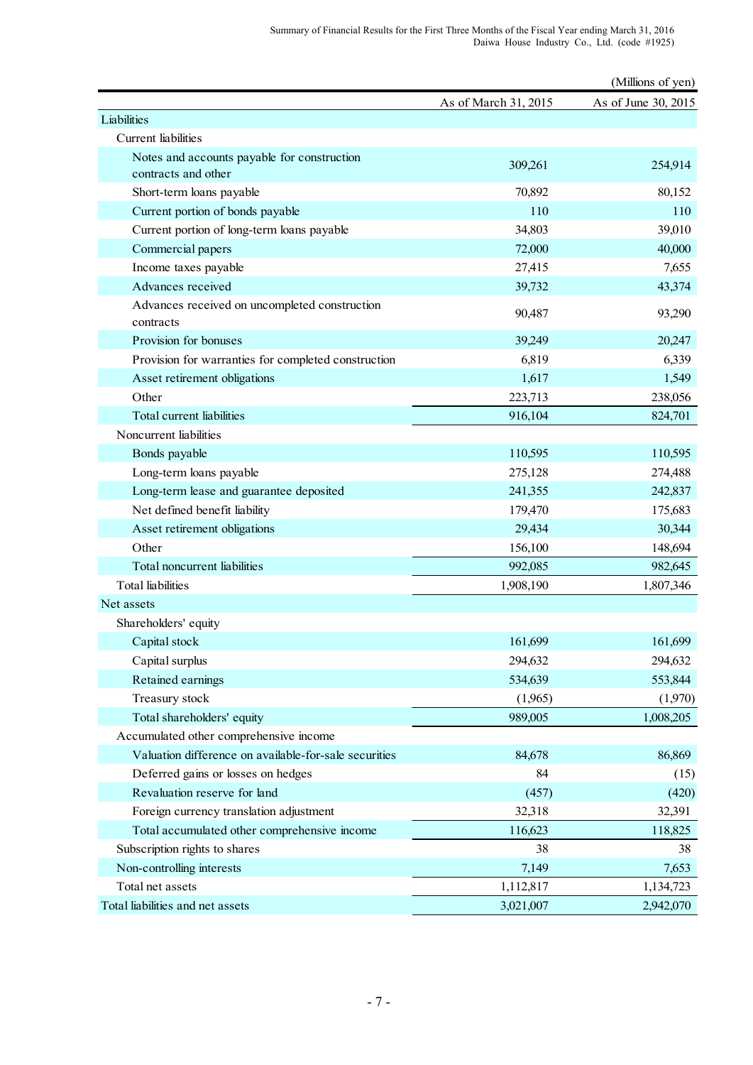|                                                            |                      | (Millions of yen)   |
|------------------------------------------------------------|----------------------|---------------------|
|                                                            | As of March 31, 2015 | As of June 30, 2015 |
| Liabilities                                                |                      |                     |
| Current liabilities                                        |                      |                     |
| Notes and accounts payable for construction                | 309,261              | 254,914             |
| contracts and other                                        |                      |                     |
| Short-term loans payable                                   | 70,892               | 80,152              |
| Current portion of bonds payable                           | 110                  | 110                 |
| Current portion of long-term loans payable                 | 34,803               | 39,010              |
| Commercial papers                                          | 72,000               | 40,000              |
| Income taxes payable                                       | 27,415               | 7,655               |
| Advances received                                          | 39,732               | 43,374              |
| Advances received on uncompleted construction<br>contracts | 90,487               | 93,290              |
| Provision for bonuses                                      | 39,249               | 20,247              |
| Provision for warranties for completed construction        | 6,819                | 6,339               |
| Asset retirement obligations                               | 1,617                | 1,549               |
| Other                                                      | 223,713              | 238,056             |
| Total current liabilities                                  | 916,104              | 824,701             |
| Noncurrent liabilities                                     |                      |                     |
| Bonds payable                                              | 110,595              | 110,595             |
| Long-term loans payable                                    | 275,128              | 274,488             |
| Long-term lease and guarantee deposited                    | 241,355              | 242,837             |
| Net defined benefit liability                              | 179,470              | 175,683             |
| Asset retirement obligations                               | 29,434               | 30,344              |
| Other                                                      | 156,100              | 148,694             |
| Total noncurrent liabilities                               | 992,085              | 982,645             |
| <b>Total</b> liabilities                                   | 1,908,190            | 1,807,346           |
| Net assets                                                 |                      |                     |
| Shareholders' equity                                       |                      |                     |
| Capital stock                                              | 161,699              | 161,699             |
| Capital surplus                                            | 294,632              | 294,632             |
| Retained earnings                                          | 534,639              | 553,844             |
| Treasury stock                                             | (1,965)              | (1,970)             |
| Total shareholders' equity                                 | 989,005              | 1,008,205           |
| Accumulated other comprehensive income                     |                      |                     |
| Valuation difference on available-for-sale securities      | 84,678               | 86,869              |
| Deferred gains or losses on hedges                         | 84                   | (15)                |
| Revaluation reserve for land                               | (457)                | (420)               |
| Foreign currency translation adjustment                    | 32,318               | 32,391              |
| Total accumulated other comprehensive income               | 116,623              | 118,825             |
| Subscription rights to shares                              | 38                   | 38                  |
| Non-controlling interests                                  | 7,149                | 7,653               |
| Total net assets                                           | 1,112,817            | 1,134,723           |
| Total liabilities and net assets                           | 3,021,007            | 2,942,070           |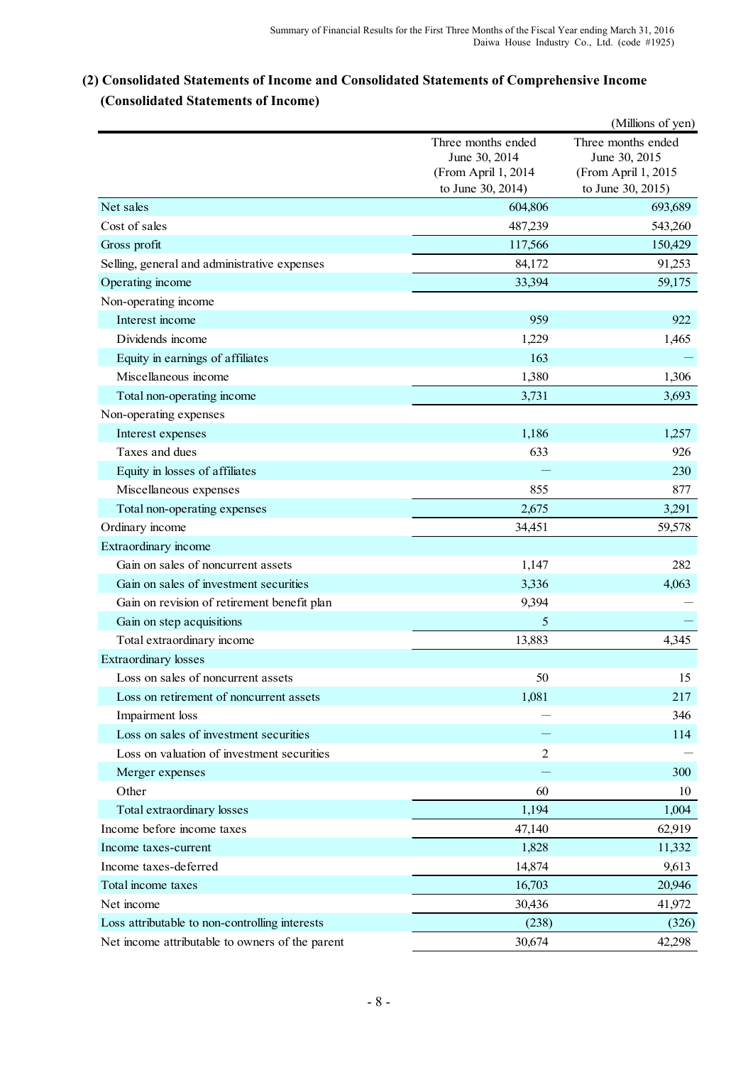# **(2) Consolidated Statements of Income and Consolidated Statements of Comprehensive Income (Consolidated Statements of Income)**

|                                                 |                                                            | (Millions of yen)                                          |
|-------------------------------------------------|------------------------------------------------------------|------------------------------------------------------------|
|                                                 | Three months ended<br>June 30, 2014<br>(From April 1, 2014 | Three months ended<br>June 30, 2015<br>(From April 1, 2015 |
|                                                 | to June 30, 2014)                                          | to June 30, 2015)                                          |
| Net sales                                       | 604,806                                                    | 693,689                                                    |
| Cost of sales                                   | 487,239                                                    | 543,260                                                    |
| Gross profit                                    | 117,566                                                    | 150,429                                                    |
| Selling, general and administrative expenses    | 84,172                                                     | 91,253                                                     |
| Operating income                                | 33,394                                                     | 59,175                                                     |
| Non-operating income                            |                                                            |                                                            |
| Interest income                                 | 959                                                        | 922                                                        |
| Dividends income                                | 1,229                                                      | 1,465                                                      |
| Equity in earnings of affiliates                | 163                                                        |                                                            |
| Miscellaneous income                            | 1,380                                                      | 1,306                                                      |
| Total non-operating income                      | 3,731                                                      | 3,693                                                      |
| Non-operating expenses                          |                                                            |                                                            |
| Interest expenses                               | 1,186                                                      | 1,257                                                      |
| Taxes and dues                                  | 633                                                        | 926                                                        |
| Equity in losses of affiliates                  |                                                            | 230                                                        |
| Miscellaneous expenses                          | 855                                                        | 877                                                        |
| Total non-operating expenses                    | 2,675                                                      | 3,291                                                      |
| Ordinary income                                 | 34,451                                                     | 59,578                                                     |
| Extraordinary income                            |                                                            |                                                            |
| Gain on sales of noncurrent assets              | 1,147                                                      | 282                                                        |
| Gain on sales of investment securities          | 3,336                                                      | 4,063                                                      |
| Gain on revision of retirement benefit plan     | 9,394                                                      |                                                            |
| Gain on step acquisitions                       | 5                                                          |                                                            |
| Total extraordinary income                      | 13,883                                                     | 4,345                                                      |
| <b>Extraordinary losses</b>                     |                                                            |                                                            |
| Loss on sales of noncurrent assets              | 50                                                         | 15                                                         |
| Loss on retirement of noncurrent assets         | 1,081                                                      | 217                                                        |
| Impairment loss                                 |                                                            | 346                                                        |
| Loss on sales of investment securities          |                                                            | 114                                                        |
| Loss on valuation of investment securities      | $\overline{2}$                                             |                                                            |
| Merger expenses                                 |                                                            | 300                                                        |
| Other                                           | 60                                                         | 10                                                         |
| Total extraordinary losses                      | 1,194                                                      | 1,004                                                      |
| Income before income taxes                      | 47,140                                                     | 62,919                                                     |
| Income taxes-current                            | 1,828                                                      | 11,332                                                     |
| Income taxes-deferred                           | 14,874                                                     | 9,613                                                      |
| Total income taxes                              | 16,703                                                     | 20,946                                                     |
| Net income                                      | 30,436                                                     | 41,972                                                     |
| Loss attributable to non-controlling interests  | (238)                                                      | (326)                                                      |
| Net income attributable to owners of the parent | 30,674                                                     | 42,298                                                     |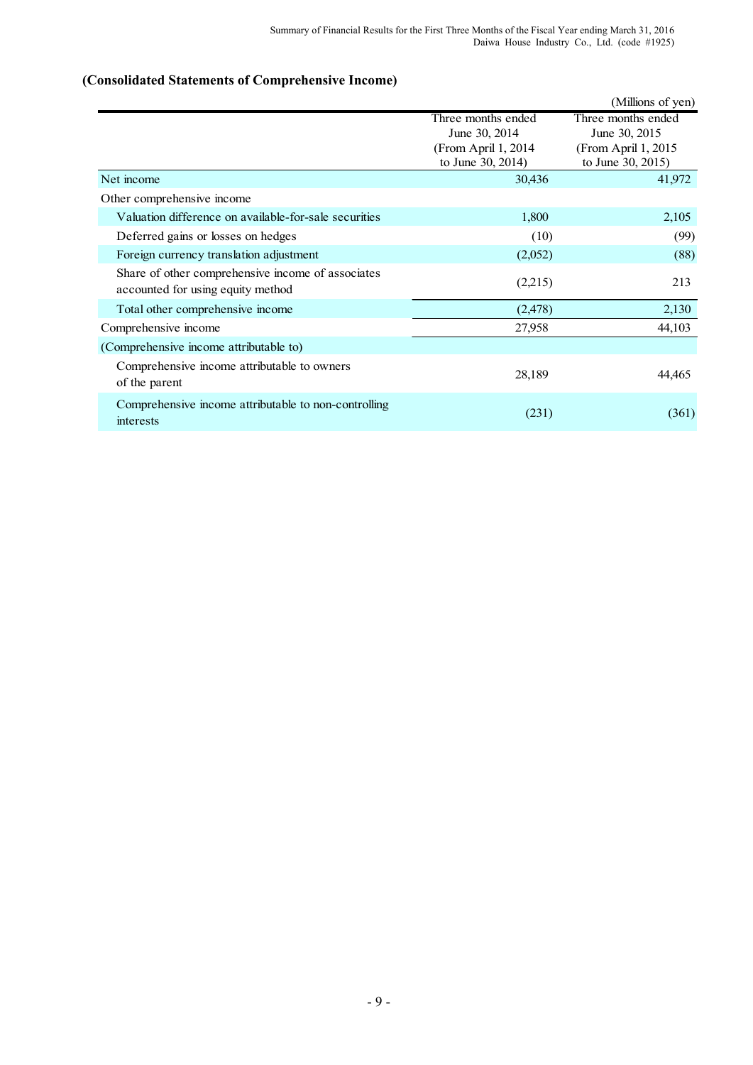# **(Consolidated Statements of Comprehensive Income)**

|                                                                                        |                                                                                  | (Millions of yen)                                                                |
|----------------------------------------------------------------------------------------|----------------------------------------------------------------------------------|----------------------------------------------------------------------------------|
|                                                                                        | Three months ended<br>June 30, 2014<br>(From April 1, 2014)<br>to June 30, 2014) | Three months ended<br>June 30, 2015<br>(From April 1, 2015)<br>to June 30, 2015) |
| Net income                                                                             | 30,436                                                                           | 41,972                                                                           |
| Other comprehensive income                                                             |                                                                                  |                                                                                  |
| Valuation difference on available-for-sale securities                                  | 1,800                                                                            | 2,105                                                                            |
| Deferred gains or losses on hedges                                                     | (10)                                                                             | (99)                                                                             |
| Foreign currency translation adjustment                                                | (2,052)                                                                          | (88)                                                                             |
| Share of other comprehensive income of associates<br>accounted for using equity method | (2,215)                                                                          | 213                                                                              |
| Total other comprehensive income                                                       | (2, 478)                                                                         | 2,130                                                                            |
| Comprehensive income                                                                   | 27,958                                                                           | 44,103                                                                           |
| (Comprehensive income attributable to)                                                 |                                                                                  |                                                                                  |
| Comprehensive income attributable to owners<br>of the parent                           | 28,189                                                                           | 44,465                                                                           |
| Comprehensive income attributable to non-controlling<br>interests                      | (231)                                                                            | (361)                                                                            |